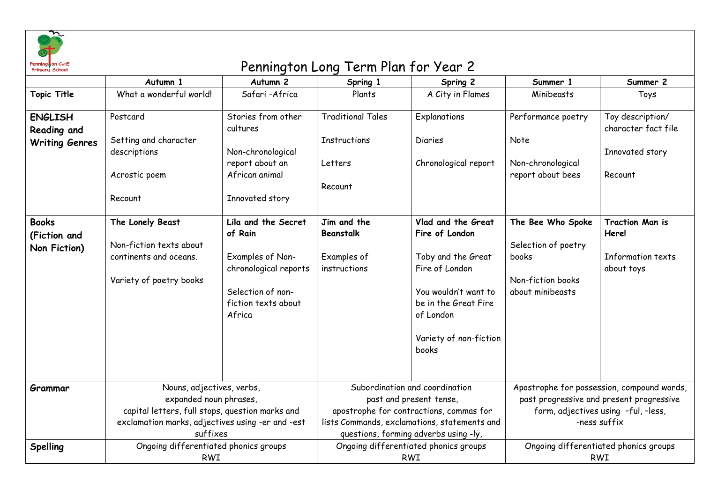

## on Corte contracts and the contracts of the Pennington Long Term Plan for Year 2

|                                                        | Autumn 1                                                                                                                                                               | Autumn 2                                                                                                                          | Spring 1                                                                                                                                                                                      | Spring 2                                                                                                                                                                     | Summer 1                                                                                                                                      | Summer 2                                                           |
|--------------------------------------------------------|------------------------------------------------------------------------------------------------------------------------------------------------------------------------|-----------------------------------------------------------------------------------------------------------------------------------|-----------------------------------------------------------------------------------------------------------------------------------------------------------------------------------------------|------------------------------------------------------------------------------------------------------------------------------------------------------------------------------|-----------------------------------------------------------------------------------------------------------------------------------------------|--------------------------------------------------------------------|
| <b>Topic Title</b>                                     | What a wonderful world!                                                                                                                                                | Safari-Africa                                                                                                                     | Plants                                                                                                                                                                                        | A City in Flames                                                                                                                                                             | Minibeasts                                                                                                                                    | Toys                                                               |
| <b>ENGLISH</b><br>Reading and<br><b>Writing Genres</b> | Postcard<br>Setting and character<br>descriptions                                                                                                                      | Stories from other<br>cultures<br>Non-chronological                                                                               | <b>Traditional Tales</b><br><b>Instructions</b>                                                                                                                                               | Explanations<br><b>Diaries</b>                                                                                                                                               | Performance poetry<br>Note                                                                                                                    | Toy description/<br>character fact file<br>Innovated story         |
|                                                        | Acrostic poem<br>Recount                                                                                                                                               | report about an<br>African animal<br>Innovated story                                                                              | Letters<br>Recount                                                                                                                                                                            | Chronological report                                                                                                                                                         | Non-chronological<br>report about bees                                                                                                        | Recount                                                            |
| <b>Books</b><br>(Fiction and<br>Non Fiction)           | The Lonely Beast<br>Non-fiction texts about<br>continents and oceans.<br>Variety of poetry books                                                                       | Lila and the Secret<br>of Rain<br>Examples of Non-<br>chronological reports<br>Selection of non-<br>fiction texts about<br>Africa | Jim and the<br>Beanstalk<br>Examples of<br>instructions                                                                                                                                       | Vlad and the Great<br>Fire of London<br>Toby and the Great<br>Fire of London<br>You wouldn't want to<br>be in the Great Fire<br>of London<br>Variety of non-fiction<br>books | The Bee Who Spoke<br>Selection of poetry<br>books<br>Non-fiction books<br>about minibeasts                                                    | <b>Traction Man is</b><br>Here!<br>Information texts<br>about toys |
| Grammar                                                | Nouns, adjectives, verbs,<br>expanded noun phrases,<br>capital letters, full stops, question marks and<br>exclamation marks, adjectives using -er and -est<br>suffixes |                                                                                                                                   | Subordination and coordination<br>past and present tense,<br>apostrophe for contractions, commas for<br>lists Commands, exclamations, statements and<br>questions, forming adverbs using -ly, |                                                                                                                                                                              | Apostrophe for possession, compound words,<br>past progressive and present progressive<br>form, adjectives using -ful, -less,<br>-ness suffix |                                                                    |
| Spelling                                               | Ongoing differentiated phonics groups<br><b>RWI</b>                                                                                                                    |                                                                                                                                   | Ongoing differentiated phonics groups<br><b>RWI</b>                                                                                                                                           |                                                                                                                                                                              | Ongoing differentiated phonics groups<br><b>RWI</b>                                                                                           |                                                                    |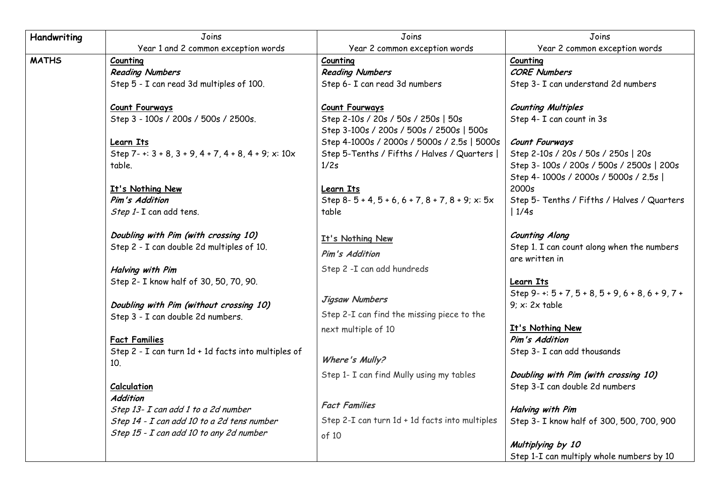| Handwriting  | Joins                                                                        | Joins                                                                           | Joins                                                             |  |
|--------------|------------------------------------------------------------------------------|---------------------------------------------------------------------------------|-------------------------------------------------------------------|--|
|              | Year 1 and 2 common exception words                                          | Year 2 common exception words                                                   | Year 2 common exception words                                     |  |
| <b>MATHS</b> | Counting                                                                     | Counting                                                                        | Counting                                                          |  |
|              | <b>Reading Numbers</b>                                                       | <b>Reading Numbers</b>                                                          | <b>CORE Numbers</b>                                               |  |
|              | Step 5 - I can read 3d multiples of 100.                                     | Step 6- I can read 3d numbers                                                   | Step 3- I can understand 2d numbers                               |  |
|              | <b>Count Fourways</b>                                                        | <b>Count Fourways</b>                                                           | <b>Counting Multiples</b>                                         |  |
|              | Step 3 - 100s / 200s / 500s / 2500s.                                         | Step 2-10s / 20s / 50s / 250s   50s<br>Step 3-100s / 200s / 500s / 2500s   500s | Step 4- I can count in 3s                                         |  |
|              | <b>Learn Its</b>                                                             | Step 4-1000s / 2000s / 5000s / 2.5s   5000s                                     | <b>Count Fourways</b>                                             |  |
|              | Step 7-+: $3 + 8$ , $3 + 9$ , $4 + 7$ , $4 + 8$ , $4 + 9$ ; x: $10x$         | Step 5-Tenths / Fifths / Halves / Quarters                                      | Step 2-10s / 20s / 50s / 250s   20s                               |  |
|              | table.                                                                       | 1/2s                                                                            | Step 3-100s / 200s / 500s / 2500s   200s                          |  |
|              |                                                                              |                                                                                 | Step 4-1000s / 2000s / 5000s / 2.5s                               |  |
|              | It's Nothing New                                                             | <b>Learn Its</b>                                                                | 2000s                                                             |  |
|              | Pim's Addition                                                               | Step 8-5+4, 5+6, 6+7, 8+7, 8+9; x: 5x                                           | Step 5- Tenths / Fifths / Halves / Quarters                       |  |
|              | Step 1- I can add tens.                                                      | table                                                                           | 1/4s                                                              |  |
|              | Doubling with Pim (with crossing 10)                                         | It's Nothing New                                                                | <b>Counting Along</b>                                             |  |
|              | Step 2 - I can double 2d multiples of 10.                                    | Pim's Addition                                                                  | Step 1. I can count along when the numbers                        |  |
|              |                                                                              |                                                                                 | are written in                                                    |  |
|              | <b>Halving with Pim</b>                                                      | Step 2 - I can add hundreds                                                     |                                                                   |  |
|              | Step 2- I know half of 30, 50, 70, 90.                                       |                                                                                 | Learn Its                                                         |  |
|              |                                                                              | Jigsaw Numbers                                                                  | Step 9-+: $5 + 7$ , $5 + 8$ , $5 + 9$ , $6 + 8$ , $6 + 9$ , $7 +$ |  |
|              | Doubling with Pim (without crossing 10)<br>Step 3 - I can double 2d numbers. | Step 2-I can find the missing piece to the                                      | $9: x: 2x$ table                                                  |  |
|              |                                                                              | next multiple of 10                                                             | It's Nothing New                                                  |  |
|              | <b>Fact Families</b>                                                         |                                                                                 | Pim's Addition                                                    |  |
|              | Step 2 - I can turn 1d + 1d facts into multiples of                          |                                                                                 | Step 3- I can add thousands                                       |  |
|              | 10.                                                                          | Where's Mully?                                                                  |                                                                   |  |
|              |                                                                              | Step 1- I can find Mully using my tables                                        | Doubling with Pim (with crossing 10)                              |  |
|              | Calculation                                                                  |                                                                                 | Step 3-I can double 2d numbers                                    |  |
|              | Addition                                                                     |                                                                                 |                                                                   |  |
|              | Step 13- I can add 1 to a 2d number                                          | <b>Fact Families</b>                                                            | <b>Halving with Pim</b>                                           |  |
|              | Step 14 - I can add 10 to a 2d tens number                                   | Step 2-I can turn 1d + 1d facts into multiples                                  | Step 3- I know half of 300, 500, 700, 900                         |  |
|              | Step 15 - I can add 10 to any 2d number                                      | of 10                                                                           |                                                                   |  |
|              |                                                                              |                                                                                 | Multiplying by 10                                                 |  |
|              |                                                                              |                                                                                 | Step 1-I can multiply whole numbers by 10                         |  |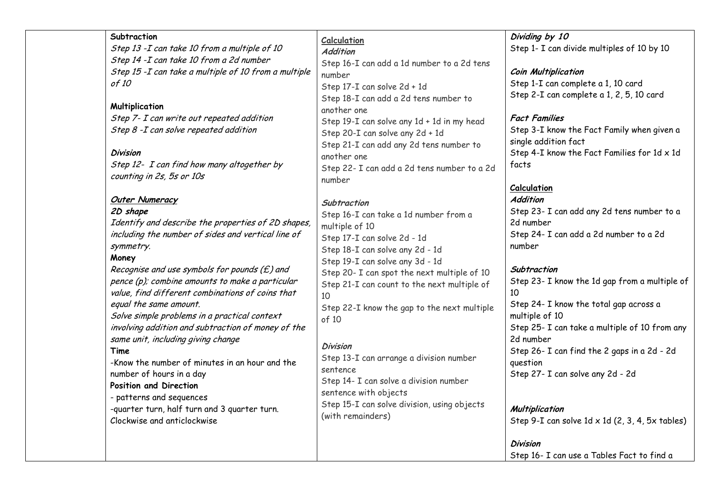| Subtraction<br>Step 13 - I can take 10 from a multiple of 10<br>Step 14 - I can take 10 from a 2d number<br>Step 15 - I can take a multiple of 10 from a multiple<br>of 10<br>Multiplication<br>Step 7- I can write out repeated addition<br>Step 8 - I can solve repeated addition<br><b>Division</b><br>Step 12- I can find how many altogether by<br>counting in 2s, 5s or 10s<br><b>Outer Numeracy</b><br>2D shape<br>Identify and describe the properties of 2D shapes,<br>including the number of sides and vertical line of<br>symmetry.<br>Money<br>Recognise and use symbols for pounds $(E)$ and<br>pence (p); combine amounts to make a particular<br>value, find different combinations of coins that<br>equal the same amount.<br>Solve simple problems in a practical context<br>involving addition and subtraction of money of the<br>same unit, including giving change<br>Time<br>-Know the number of minutes in an hour and the<br>number of hours in a day<br>Position and Direction<br>- patterns and sequences<br>-quarter turn, half turn and 3 quarter turn.<br>Clockwise and anticlockwise | <b>Calculation</b><br><b>Addition</b><br>Step 16-I can add a 1d number to a 2d tens<br>number<br>Step 17-I can solve 2d + 1d<br>Step 18-I can add a 2d tens number to<br>another one<br>Step 19-I can solve any 1d + 1d in my head<br>Step 20-I can solve any 2d + 1d<br>Step 21-I can add any 2d tens number to<br>another one<br>Step 22- I can add a 2d tens number to a 2d<br>number<br>Subtraction<br>Step 16-I can take a 1d number from a<br>multiple of 10<br>Step 17-I can solve 2d - 1d<br>Step 18-I can solve any 2d - 1d<br>Step 19-I can solve any 3d - 1d<br>Step 20- I can spot the next multiple of 10<br>Step 21-I can count to the next multiple of<br>10<br>Step 22-I know the gap to the next multiple<br>of 10<br><b>Division</b><br>Step 13-I can arrange a division number<br>sentence<br>Step 14- I can solve a division number<br>sentence with objects<br>Step 15-I can solve division, using objects<br>(with remainders) | Dividing by 10<br>Step 1- I can divide multiples of 10 by 10<br><b>Coin Multiplication</b><br>Step 1-I can complete a 1, 10 card<br>Step 2-I can complete a 1, 2, 5, 10 card<br><b>Fact Families</b><br>Step 3-I know the Fact Family when given a<br>single addition fact<br>Step 4-I know the Fact Families for $1d \times 1d$<br>facts<br>Calculation<br><b>Addition</b><br>Step 23- I can add any 2d tens number to a<br>2d number<br>Step 24- I can add a 2d number to a 2d<br>number<br>Subtraction<br>Step 23- I know the 1d gap from a multiple of<br>10<br>Step 24- I know the total gap across a<br>multiple of 10<br>Step 25- I can take a multiple of 10 from any<br>2d number<br>Step 26- I can find the 2 gaps in a 2d - 2d<br>question<br>Step 27- I can solve any 2d - 2d<br>Multiplication<br>Step 9-I can solve $1d \times 1d$ (2, 3, 4, 5x tables)<br>Division |
|--------------------------------------------------------------------------------------------------------------------------------------------------------------------------------------------------------------------------------------------------------------------------------------------------------------------------------------------------------------------------------------------------------------------------------------------------------------------------------------------------------------------------------------------------------------------------------------------------------------------------------------------------------------------------------------------------------------------------------------------------------------------------------------------------------------------------------------------------------------------------------------------------------------------------------------------------------------------------------------------------------------------------------------------------------------------------------------------------------------------|------------------------------------------------------------------------------------------------------------------------------------------------------------------------------------------------------------------------------------------------------------------------------------------------------------------------------------------------------------------------------------------------------------------------------------------------------------------------------------------------------------------------------------------------------------------------------------------------------------------------------------------------------------------------------------------------------------------------------------------------------------------------------------------------------------------------------------------------------------------------------------------------------------------------------------------------------|-----------------------------------------------------------------------------------------------------------------------------------------------------------------------------------------------------------------------------------------------------------------------------------------------------------------------------------------------------------------------------------------------------------------------------------------------------------------------------------------------------------------------------------------------------------------------------------------------------------------------------------------------------------------------------------------------------------------------------------------------------------------------------------------------------------------------------------------------------------------------------------|
|                                                                                                                                                                                                                                                                                                                                                                                                                                                                                                                                                                                                                                                                                                                                                                                                                                                                                                                                                                                                                                                                                                                    |                                                                                                                                                                                                                                                                                                                                                                                                                                                                                                                                                                                                                                                                                                                                                                                                                                                                                                                                                      | Step 16- I can use a Tables Fact to find a                                                                                                                                                                                                                                                                                                                                                                                                                                                                                                                                                                                                                                                                                                                                                                                                                                        |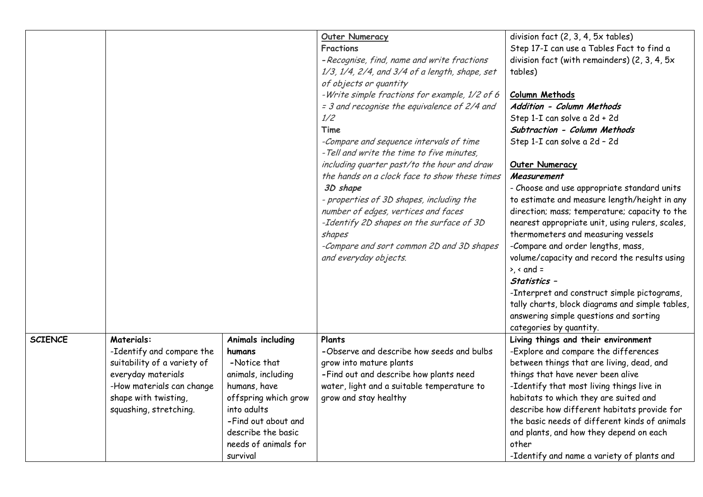|                |                                                |                             | <b>Outer Numeracy</b><br><b>Fractions</b><br>- Recognise, find, name and write fractions<br>1/3, 1/4, 2/4, and 3/4 of a length, shape, set<br>of objects or quantity<br>-Write simple fractions for example, 1/2 of 6<br>= 3 and recognise the equivalence of 2/4 and<br>1/2<br>Time<br>-Compare and sequence intervals of time<br>- Tell and write the time to five minutes,<br>including quarter past/to the hour and draw<br>the hands on a clock face to show these times<br>3D shape<br>- properties of 3D shapes, including the<br>number of edges, vertices and faces<br>-Identify 2D shapes on the surface of 3D<br>shapes<br>-Compare and sort common 2D and 3D shapes<br>and everyday objects. | division fact (2, 3, 4, 5x tables)<br>Step 17-I can use a Tables Fact to find a<br>division fact (with remainders) (2, 3, 4, 5x<br>tables)<br>Column Methods<br>Addition - Column Methods<br>Step 1-I can solve a 2d + 2d<br>Subtraction - Column Methods<br>Step 1-I can solve a 2d - 2d<br><b>Outer Numeracy</b><br>Measurement<br>- Choose and use appropriate standard units<br>to estimate and measure length/height in any<br>direction; mass; temperature; capacity to the<br>nearest appropriate unit, using rulers, scales,<br>thermometers and measuring vessels<br>-Compare and order lengths, mass,<br>volume/capacity and record the results using<br>$\rightarrow$ , < and =<br>Statistics -<br>-Interpret and construct simple pictograms,<br>tally charts, block diagrams and simple tables, |  |
|----------------|------------------------------------------------|-----------------------------|----------------------------------------------------------------------------------------------------------------------------------------------------------------------------------------------------------------------------------------------------------------------------------------------------------------------------------------------------------------------------------------------------------------------------------------------------------------------------------------------------------------------------------------------------------------------------------------------------------------------------------------------------------------------------------------------------------|--------------------------------------------------------------------------------------------------------------------------------------------------------------------------------------------------------------------------------------------------------------------------------------------------------------------------------------------------------------------------------------------------------------------------------------------------------------------------------------------------------------------------------------------------------------------------------------------------------------------------------------------------------------------------------------------------------------------------------------------------------------------------------------------------------------|--|
| <b>SCIENCE</b> | <b>Materials:</b><br>-Identify and compare the | Animals including<br>humans | Plants<br>-Observe and describe how seeds and bulbs                                                                                                                                                                                                                                                                                                                                                                                                                                                                                                                                                                                                                                                      | Living things and their environment<br>-Explore and compare the differences                                                                                                                                                                                                                                                                                                                                                                                                                                                                                                                                                                                                                                                                                                                                  |  |
|                | suitability of a variety of                    | -Notice that                | grow into mature plants                                                                                                                                                                                                                                                                                                                                                                                                                                                                                                                                                                                                                                                                                  | between things that are living, dead, and                                                                                                                                                                                                                                                                                                                                                                                                                                                                                                                                                                                                                                                                                                                                                                    |  |
|                | everyday materials                             | animals, including          | -Find out and describe how plants need                                                                                                                                                                                                                                                                                                                                                                                                                                                                                                                                                                                                                                                                   | things that have never been alive                                                                                                                                                                                                                                                                                                                                                                                                                                                                                                                                                                                                                                                                                                                                                                            |  |
|                | -How materials can change                      | humans, have                | water, light and a suitable temperature to                                                                                                                                                                                                                                                                                                                                                                                                                                                                                                                                                                                                                                                               | -Identify that most living things live in                                                                                                                                                                                                                                                                                                                                                                                                                                                                                                                                                                                                                                                                                                                                                                    |  |
|                | shape with twisting,                           | offspring which grow        | grow and stay healthy                                                                                                                                                                                                                                                                                                                                                                                                                                                                                                                                                                                                                                                                                    | habitats to which they are suited and                                                                                                                                                                                                                                                                                                                                                                                                                                                                                                                                                                                                                                                                                                                                                                        |  |
|                | squashing, stretching.                         | into adults                 |                                                                                                                                                                                                                                                                                                                                                                                                                                                                                                                                                                                                                                                                                                          | describe how different habitats provide for                                                                                                                                                                                                                                                                                                                                                                                                                                                                                                                                                                                                                                                                                                                                                                  |  |
|                |                                                | -Find out about and         |                                                                                                                                                                                                                                                                                                                                                                                                                                                                                                                                                                                                                                                                                                          | the basic needs of different kinds of animals                                                                                                                                                                                                                                                                                                                                                                                                                                                                                                                                                                                                                                                                                                                                                                |  |
|                |                                                | describe the basic          |                                                                                                                                                                                                                                                                                                                                                                                                                                                                                                                                                                                                                                                                                                          | and plants, and how they depend on each                                                                                                                                                                                                                                                                                                                                                                                                                                                                                                                                                                                                                                                                                                                                                                      |  |
|                |                                                | needs of animals for        |                                                                                                                                                                                                                                                                                                                                                                                                                                                                                                                                                                                                                                                                                                          | other                                                                                                                                                                                                                                                                                                                                                                                                                                                                                                                                                                                                                                                                                                                                                                                                        |  |
|                |                                                | survival                    |                                                                                                                                                                                                                                                                                                                                                                                                                                                                                                                                                                                                                                                                                                          | -Identify and name a variety of plants and                                                                                                                                                                                                                                                                                                                                                                                                                                                                                                                                                                                                                                                                                                                                                                   |  |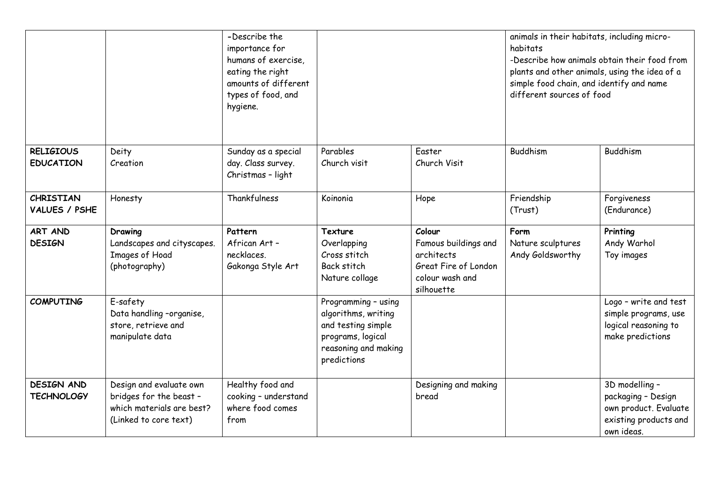|                                        |                                                                                                          | -Describe the<br>importance for<br>humans of exercise,<br>eating the right<br>amounts of different<br>types of food, and<br>hygiene. |                                                                                                                              |                                                                                                       | animals in their habitats, including micro-<br>habitats<br>-Describe how animals obtain their food from<br>plants and other animals, using the idea of a<br>simple food chain, and identify and name<br>different sources of food |                                                                                                      |
|----------------------------------------|----------------------------------------------------------------------------------------------------------|--------------------------------------------------------------------------------------------------------------------------------------|------------------------------------------------------------------------------------------------------------------------------|-------------------------------------------------------------------------------------------------------|-----------------------------------------------------------------------------------------------------------------------------------------------------------------------------------------------------------------------------------|------------------------------------------------------------------------------------------------------|
| <b>RELIGIOUS</b><br><b>EDUCATION</b>   | Deity<br>Creation                                                                                        | Sunday as a special<br>day. Class survey.<br>Christmas - light                                                                       | Parables<br>Church visit                                                                                                     | Easter<br>Church Visit                                                                                | Buddhism                                                                                                                                                                                                                          | <b>Buddhism</b>                                                                                      |
| CHRISTIAN<br>VALUES / PSHE             | Honesty                                                                                                  | Thankfulness                                                                                                                         | Koinonia                                                                                                                     | Hope                                                                                                  | Friendship<br>(Trust)                                                                                                                                                                                                             | Forgiveness<br>(Endurance)                                                                           |
| ART AND<br><b>DESIGN</b>               | Drawing<br>Landscapes and cityscapes.<br>Images of Hoad<br>(photography)                                 | Pattern<br>African Art -<br>necklaces.<br>Gakonga Style Art                                                                          | <b>Texture</b><br>Overlapping<br>Cross stitch<br><b>Back stitch</b><br>Nature collage                                        | Colour<br>Famous buildings and<br>architects<br>Great Fire of London<br>colour wash and<br>silhouette | Form<br>Nature sculptures<br>Andy Goldsworthy                                                                                                                                                                                     | Printing<br>Andy Warhol<br>Toy images                                                                |
| <b>COMPUTING</b>                       | E-safety<br>Data handling -organise,<br>store, retrieve and<br>manipulate data                           |                                                                                                                                      | Programming - using<br>algorithms, writing<br>and testing simple<br>programs, logical<br>reasoning and making<br>predictions |                                                                                                       |                                                                                                                                                                                                                                   | Logo - write and test<br>simple programs, use<br>logical reasoning to<br>make predictions            |
| <b>DESIGN AND</b><br><b>TECHNOLOGY</b> | Design and evaluate own<br>bridges for the beast -<br>which materials are best?<br>(Linked to core text) | Healthy food and<br>cooking - understand<br>where food comes<br>from                                                                 |                                                                                                                              | Designing and making<br>bread                                                                         |                                                                                                                                                                                                                                   | 3D modelling -<br>packaging - Design<br>own product. Evaluate<br>existing products and<br>own ideas. |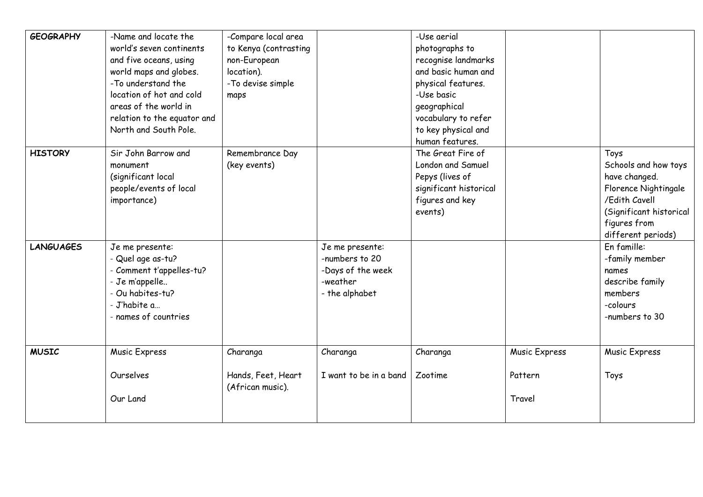| <b>GEOGRAPHY</b> | -Name and locate the<br>world's seven continents<br>and five oceans, using<br>world maps and globes.<br>-To understand the<br>location of hot and cold<br>areas of the world in<br>relation to the equator and<br>North and South Pole. | -Compare local area<br>to Kenya (contrasting<br>non-European<br>location).<br>-To devise simple<br>maps |                                                                                      | -Use aerial<br>photographs to<br>recognise landmarks<br>and basic human and<br>physical features.<br>-Use basic<br>geographical<br>vocabulary to refer<br>to key physical and<br>human features. |                                    |                                                                                                                                                         |
|------------------|-----------------------------------------------------------------------------------------------------------------------------------------------------------------------------------------------------------------------------------------|---------------------------------------------------------------------------------------------------------|--------------------------------------------------------------------------------------|--------------------------------------------------------------------------------------------------------------------------------------------------------------------------------------------------|------------------------------------|---------------------------------------------------------------------------------------------------------------------------------------------------------|
| <b>HISTORY</b>   | Sir John Barrow and<br>monument<br>(significant local<br>people/events of local<br>importance)                                                                                                                                          | Remembrance Day<br>(key events)                                                                         |                                                                                      | The Great Fire of<br>London and Samuel<br>Pepys (lives of<br>significant historical<br>figures and key<br>events)                                                                                |                                    | Toys<br>Schools and how toys<br>have changed.<br>Florence Nightingale<br>/Edith Cavell<br>(Significant historical<br>figures from<br>different periods) |
| <b>LANGUAGES</b> | Je me presente:<br>- Quel age as-tu?<br>- Comment t'appelles-tu?<br>- Je m'appelle<br>- Ou habites-tu?<br>- J'habite a<br>- names of countries                                                                                          |                                                                                                         | Je me presente:<br>-numbers to 20<br>-Days of the week<br>-weather<br>- the alphabet |                                                                                                                                                                                                  |                                    | En famille:<br>-family member<br>names<br>describe family<br>members<br>-colours<br>-numbers to 30                                                      |
| <b>MUSIC</b>     | Music Express<br>Ourselves<br>Our Land                                                                                                                                                                                                  | Charanga<br>Hands, Feet, Heart<br>(African music).                                                      | Charanga<br>I want to be in a band                                                   | Charanga<br>Zootime                                                                                                                                                                              | Music Express<br>Pattern<br>Travel | Music Express<br>Toys                                                                                                                                   |